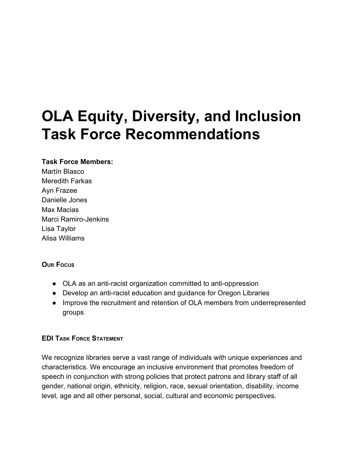# **OLA Equity, Diversity, and Inclusion Task Force Recommendations**

#### **Task Force Members:**

Martín Blasco Meredith Farkas Ayn Frazee Danielle Jones Max Macias Marci Ramiro-Jenkins Lisa Taylor Alisa Williams

#### **OUR FOCUS**

- OLA as an anti-racist organization committed to anti-oppression
- Develop an anti-racist education and guidance for Oregon Libraries
- Improve the recruitment and retention of OLA members from underrepresented groups

#### **EDI TASK FORCE STATEMENT**

We recognize libraries serve a vast range of individuals with unique experiences and characteristics. We encourage an inclusive environment that promotes freedom of speech in conjunction with strong policies that protect patrons and library staff of all gender, national origin, ethnicity, religion, race, sexual orientation, disability, income level, age and all other personal, social, cultural and economic perspectives.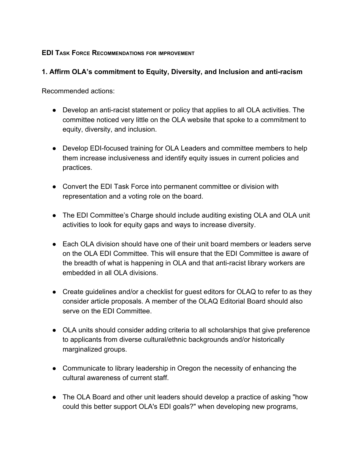#### **EDI TASK FORCE RECOMMENDATIONS FOR IMPROVEMENT**

### **1. Affirm OLA's commitment to Equity, Diversity, and Inclusion and anti-racism**

Recommended actions:

- Develop an anti-racist statement or policy that applies to all OLA activities. The committee noticed very little on the OLA website that spoke to a commitment to equity, diversity, and inclusion.
- Develop EDI-focused training for OLA Leaders and committee members to help them increase inclusiveness and identify equity issues in current policies and practices.
- Convert the EDI Task Force into permanent committee or division with representation and a voting role on the board.
- The EDI Committee's Charge should include auditing existing OLA and OLA unit activities to look for equity gaps and ways to increase diversity.
- Each OLA division should have one of their unit board members or leaders serve on the OLA EDI Committee. This will ensure that the EDI Committee is aware of the breadth of what is happening in OLA and that anti-racist library workers are embedded in all OLA divisions.
- Create guidelines and/or a checklist for guest editors for OLAQ to refer to as they consider article proposals. A member of the OLAQ Editorial Board should also serve on the EDI Committee.
- OLA units should consider adding criteria to all scholarships that give preference to applicants from diverse cultural/ethnic backgrounds and/or historically marginalized groups.
- Communicate to library leadership in Oregon the necessity of enhancing the cultural awareness of current staff.
- The OLA Board and other unit leaders should develop a practice of asking "how could this better support OLA's EDI goals?" when developing new programs,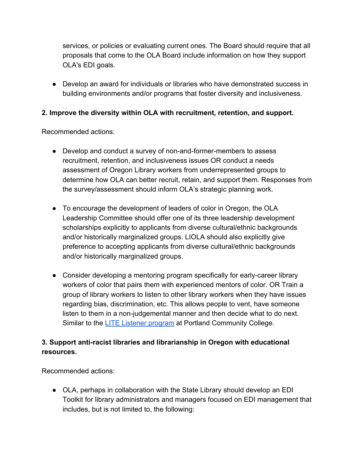services, or policies or evaluating current ones. The Board should require that all proposals that come to the OLA Board include information on how they support OLA's EDI goals.

● Develop an award for individuals or libraries who have demonstrated success in building environments and/or programs that foster diversity and inclusiveness.

## **2. Improve the diversity within OLA with recruitment, retention, and support.**

Recommended actions:

- Develop and conduct a survey of non-and-former-members to assess recruitment, retention, and inclusiveness issues OR conduct a needs assessment of Oregon Library workers from underrepresented groups to determine how OLA can better recruit, retain, and support them. Responses from the survey/assessment should inform OLA's strategic planning work.
- To encourage the development of leaders of color in Oregon, the OLA Leadership Committee should offer one of its three leadership development scholarships explicitly to applicants from diverse cultural/ethnic backgrounds and/or historically marginalized groups. LIOLA should also explicitly give preference to accepting applicants from diverse cultural/ethnic backgrounds and/or historically marginalized groups.
- Consider developing a mentoring program specifically for early-career library workers of color that pairs them with experienced mentors of color. OR Train a group of library workers to listen to other library workers when they have issues regarding bias, discrimination, etc. This allows people to vent, have someone listen to them in a non-judgemental manner and then decide what to do next. Similar to the **LITE Listener program** at Portland Community College.

# **3. Support anti-racist libraries and librarianship in Oregon with educational resources.**

Recommended actions:

• OLA, perhaps in collaboration with the State Library should develop an EDI Toolkit for library administrators and managers focused on EDI management that includes, but is not limited to, the following: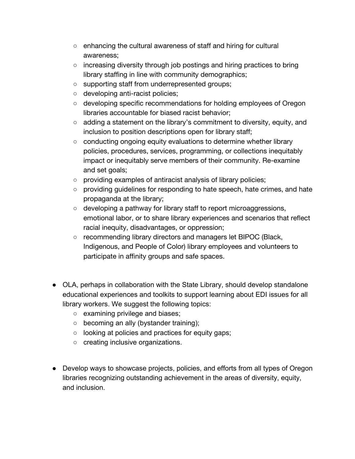- enhancing the cultural awareness of staff and hiring for cultural awareness;
- $\circ$  increasing diversity through job postings and hiring practices to bring library staffing in line with community demographics;
- supporting staff from underrepresented groups;
- developing anti-racist policies;
- developing specific recommendations for holding employees of Oregon libraries accountable for biased racist behavior;
- $\circ$  adding a statement on the library's commitment to diversity, equity, and inclusion to position descriptions open for library staff;
- $\circ$  conducting ongoing equity evaluations to determine whether library policies, procedures, services, programming, or collections inequitably impact or inequitably serve members of their community. Re-examine and set goals;
- providing examples of antiracist analysis of library policies;
- providing guidelines for responding to hate speech, hate crimes, and hate propaganda at the library;
- developing a pathway for library staff to report microaggressions, emotional labor, or to share library experiences and scenarios that reflect racial inequity, disadvantages, or oppression;
- recommending library directors and managers let BIPOC (Black, Indigenous, and People of Color) library employees and volunteers to participate in affinity groups and safe spaces.
- OLA, perhaps in collaboration with the State Library, should develop standalone educational experiences and toolkits to support learning about EDI issues for all library workers. We suggest the following topics:
	- examining privilege and biases;
	- becoming an ally (bystander training);
	- looking at policies and practices for equity gaps;
	- creating inclusive organizations.
- Develop ways to showcase projects, policies, and efforts from all types of Oregon libraries recognizing outstanding achievement in the areas of diversity, equity, and inclusion.